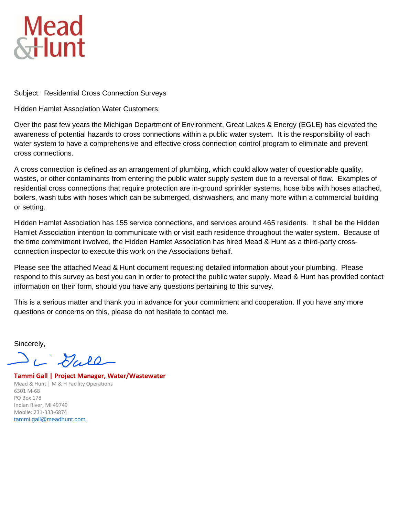

Subject: Residential Cross Connection Surveys

Hidden Hamlet Association Water Customers:

Over the past few years the Michigan Department of Environment, Great Lakes & Energy (EGLE) has elevated the awareness of potential hazards to cross connections within a public water system. It is the responsibility of each water system to have a comprehensive and effective cross connection control program to eliminate and prevent cross connections.

A cross connection is defined as an arrangement of plumbing, which could allow water of questionable quality, wastes, or other contaminants from entering the public water supply system due to a reversal of flow. Examples of residential cross connections that require protection are in-ground sprinkler systems, hose bibs with hoses attached, boilers, wash tubs with hoses which can be submerged, dishwashers, and many more within a commercial building or setting.

Hidden Hamlet Association has 155 service connections, and services around 465 residents. It shall be the Hidden Hamlet Association intention to communicate with or visit each residence throughout the water system. Because of the time commitment involved, the Hidden Hamlet Association has hired Mead & Hunt as a third-party crossconnection inspector to execute this work on the Associations behalf.

Please see the attached Mead & Hunt document requesting detailed information about your plumbing. Please respond to this survey as best you can in order to protect the public water supply. Mead & Hunt has provided contact information on their form, should you have any questions pertaining to this survey.

This is a serious matter and thank you in advance for your commitment and cooperation. If you have any more questions or concerns on this, please do not hesitate to contact me.

Sincerely,

L' Dall

**Tammi Gall | Project Manager, Water/Wastewater** Mead & Hunt | M & H Facility Operations 6301 M-68 PO Box 178 Indian River, Mi 49749 Mobile: 231-333-6874 [tammi.gall@meadhunt.com](mailto:tammi.gall@meadhunt.com)